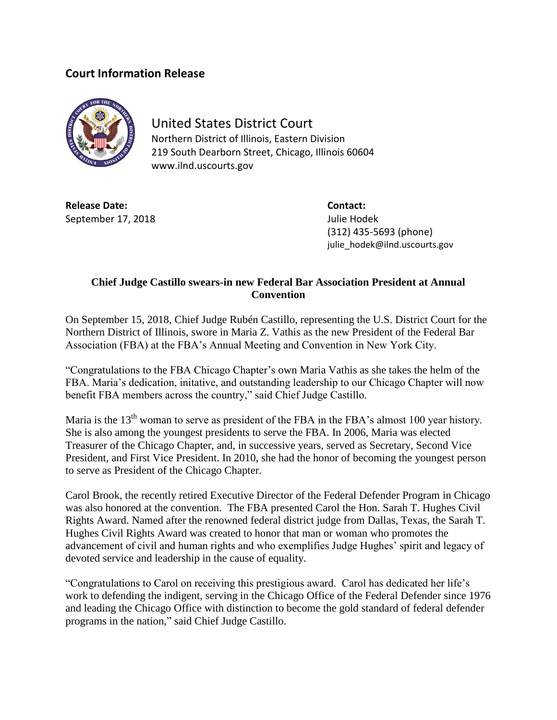## **Court Information Release**



## United States District Court

Northern District of Illinois, Eastern Division 219 South Dearborn Street, Chicago, Illinois 60604 www.ilnd.uscourts.gov

**Release Date: Contact:** September 17, 2018 **Julie Hodek** 

(312) 435-5693 (phone) julie\_hodek@ilnd.uscourts.gov

## **Chief Judge Castillo swears-in new Federal Bar Association President at Annual Convention**

On September 15, 2018, Chief Judge Rubén Castillo, representing the U.S. District Court for the Northern District of Illinois, swore in Maria Z. Vathis as the new President of the Federal Bar Association (FBA) at the FBA's Annual Meeting and Convention in New York City.

"Congratulations to the FBA Chicago Chapter's own Maria Vathis as she takes the helm of the FBA. Maria's dedication, initative, and outstanding leadership to our Chicago Chapter will now benefit FBA members across the country," said Chief Judge Castillo.

Maria is the  $13<sup>th</sup>$  woman to serve as president of the FBA in the FBA's almost 100 year history. She is also among the youngest presidents to serve the FBA. In 2006, Maria was elected Treasurer of the Chicago Chapter, and, in successive years, served as Secretary, Second Vice President, and First Vice President. In 2010, she had the honor of becoming the youngest person to serve as President of the Chicago Chapter.

Carol Brook, the recently retired Executive Director of the Federal Defender Program in Chicago was also honored at the convention. The FBA presented Carol the Hon. Sarah T. Hughes Civil Rights Award. Named after the renowned federal district judge from Dallas, Texas, the Sarah T. Hughes Civil Rights Award was created to honor that man or woman who promotes the advancement of civil and human rights and who exemplifies Judge Hughes' spirit and legacy of devoted service and leadership in the cause of equality.

"Congratulations to Carol on receiving this prestigious award. Carol has dedicated her life's work to defending the indigent, serving in the Chicago Office of the Federal Defender since 1976 and leading the Chicago Office with distinction to become the gold standard of federal defender programs in the nation," said Chief Judge Castillo.